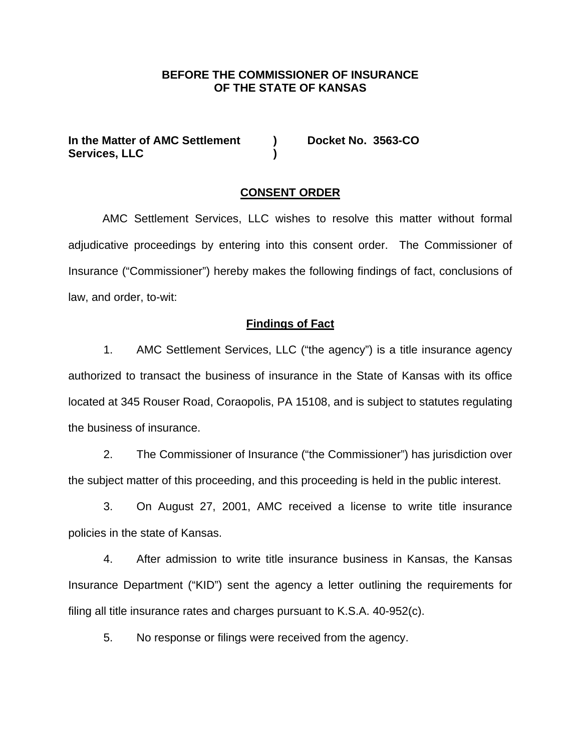## **BEFORE THE COMMISSIONER OF INSURANCE OF THE STATE OF KANSAS**

In the Matter of AMC Settlement **)** Docket No. 3563-CO **Services, LLC )** 

#### **CONSENT ORDER**

 AMC Settlement Services, LLC wishes to resolve this matter without formal adjudicative proceedings by entering into this consent order. The Commissioner of Insurance ("Commissioner") hereby makes the following findings of fact, conclusions of law, and order, to-wit:

### **Findings of Fact**

1. AMC Settlement Services, LLC ("the agency") is a title insurance agency authorized to transact the business of insurance in the State of Kansas with its office located at 345 Rouser Road, Coraopolis, PA 15108, and is subject to statutes regulating the business of insurance.

2. The Commissioner of Insurance ("the Commissioner") has jurisdiction over the subject matter of this proceeding, and this proceeding is held in the public interest.

3. On August 27, 2001, AMC received a license to write title insurance policies in the state of Kansas.

4. After admission to write title insurance business in Kansas, the Kansas Insurance Department ("KID") sent the agency a letter outlining the requirements for filing all title insurance rates and charges pursuant to K.S.A. 40-952(c).

5. No response or filings were received from the agency.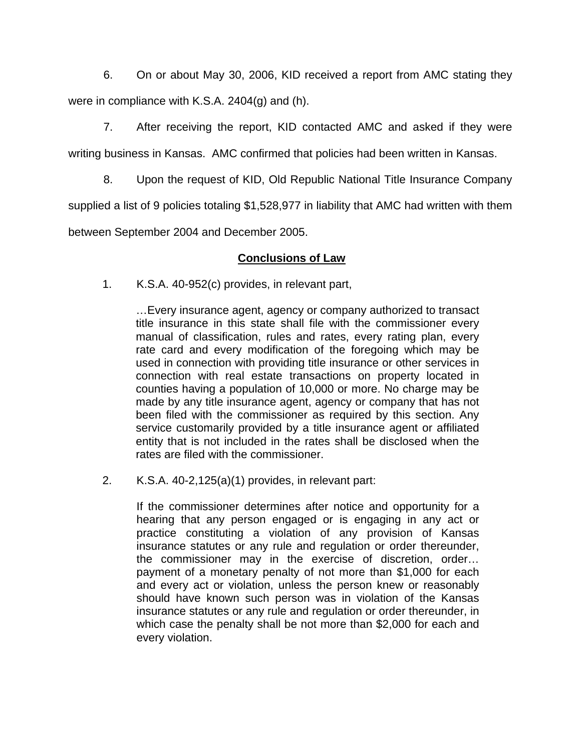6. On or about May 30, 2006, KID received a report from AMC stating they were in compliance with K.S.A. 2404(g) and (h).

7. After receiving the report, KID contacted AMC and asked if they were writing business in Kansas. AMC confirmed that policies had been written in Kansas.

8. Upon the request of KID, Old Republic National Title Insurance Company

supplied a list of 9 policies totaling \$1,528,977 in liability that AMC had written with them

between September 2004 and December 2005.

# **Conclusions of Law**

1. K.S.A. 40-952(c) provides, in relevant part,

…Every insurance agent, agency or company authorized to transact title insurance in this state shall file with the commissioner every manual of classification, rules and rates, every rating plan, every rate card and every modification of the foregoing which may be used in connection with providing title insurance or other services in connection with real estate transactions on property located in counties having a population of 10,000 or more. No charge may be made by any title insurance agent, agency or company that has not been filed with the commissioner as required by this section. Any service customarily provided by a title insurance agent or affiliated entity that is not included in the rates shall be disclosed when the rates are filed with the commissioner.

2. K.S.A. 40-2,125(a)(1) provides, in relevant part:

If the commissioner determines after notice and opportunity for a hearing that any person engaged or is engaging in any act or practice constituting a violation of any provision of Kansas insurance statutes or any rule and regulation or order thereunder, the commissioner may in the exercise of discretion, order… payment of a monetary penalty of not more than \$1,000 for each and every act or violation, unless the person knew or reasonably should have known such person was in violation of the Kansas insurance statutes or any rule and regulation or order thereunder, in which case the penalty shall be not more than \$2,000 for each and every violation.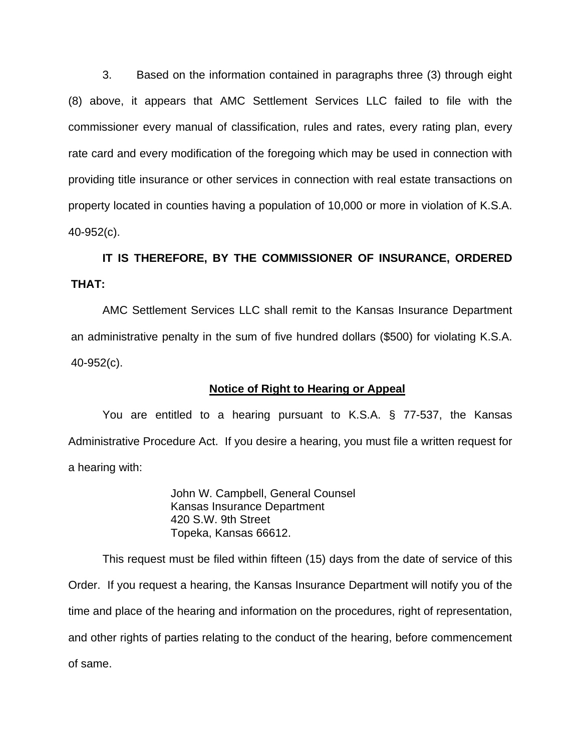3. Based on the information contained in paragraphs three (3) through eight (8) above, it appears that AMC Settlement Services LLC failed to file with the commissioner every manual of classification, rules and rates, every rating plan, every rate card and every modification of the foregoing which may be used in connection with providing title insurance or other services in connection with real estate transactions on property located in counties having a population of 10,000 or more in violation of K.S.A. 40-952(c).

# **IT IS THEREFORE, BY THE COMMISSIONER OF INSURANCE, ORDERED THAT:**

AMC Settlement Services LLC shall remit to the Kansas Insurance Department an administrative penalty in the sum of five hundred dollars (\$500) for violating K.S.A. 40-952(c).

## **Notice of Right to Hearing or Appeal**

You are entitled to a hearing pursuant to K.S.A. § 77-537, the Kansas Administrative Procedure Act. If you desire a hearing, you must file a written request for a hearing with:

> John W. Campbell, General Counsel Kansas Insurance Department 420 S.W. 9th Street Topeka, Kansas 66612.

This request must be filed within fifteen (15) days from the date of service of this Order. If you request a hearing, the Kansas Insurance Department will notify you of the time and place of the hearing and information on the procedures, right of representation, and other rights of parties relating to the conduct of the hearing, before commencement of same.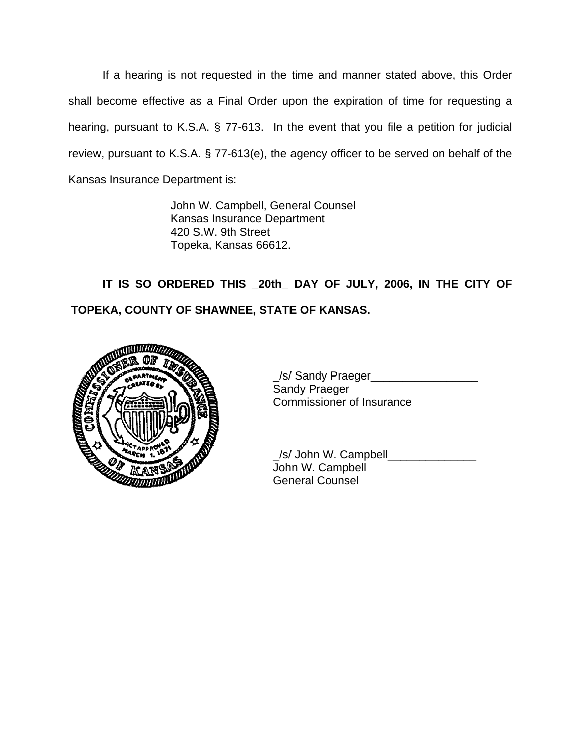If a hearing is not requested in the time and manner stated above, this Order shall become effective as a Final Order upon the expiration of time for requesting a hearing, pursuant to K.S.A. § 77-613. In the event that you file a petition for judicial review, pursuant to K.S.A. § 77-613(e), the agency officer to be served on behalf of the Kansas Insurance Department is:

> John W. Campbell, General Counsel Kansas Insurance Department 420 S.W. 9th Street Topeka, Kansas 66612.

 **IT IS SO ORDERED THIS \_20th\_ DAY OF JULY, 2006, IN THE CITY OF TOPEKA, COUNTY OF SHAWNEE, STATE OF KANSAS.** 



 \_/s/ Sandy Praeger\_\_\_\_\_\_\_\_\_\_\_\_\_\_\_\_\_ Sandy Praeger Commissioner of Insurance

 \_/s/ John W. Campbell\_\_\_\_\_\_\_\_\_\_\_\_\_\_ John W. Campbell General Counsel